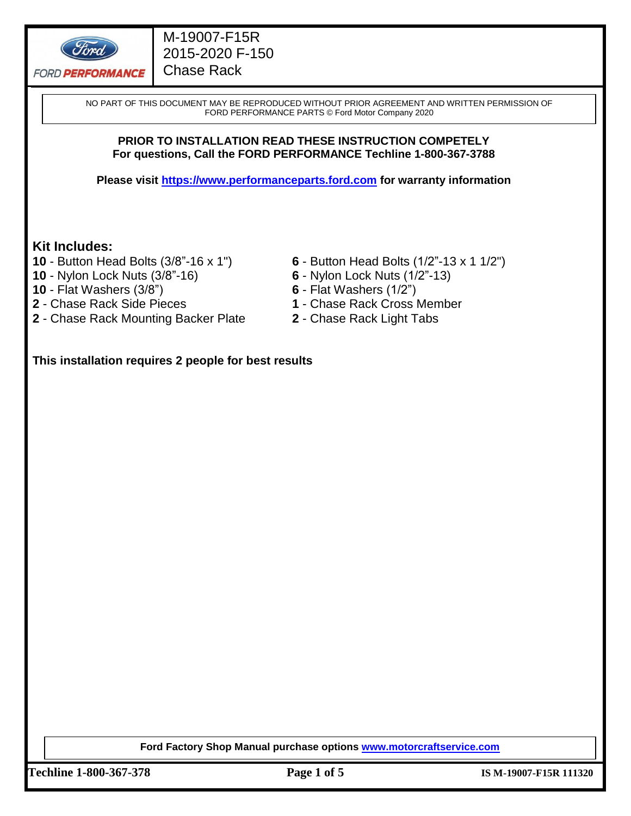

### M-19007-F15R 2015-2020 F-150 Chase Rack

NO PART OF THIS DOCUMENT MAY BE REPRODUCED WITHOUT PRIOR AGREEMENT AND WRITTEN PERMISSION OF FORD PERFORMANCE PARTS © Ford Motor Company 2020

#### **PRIOR TO INSTALLATION READ THESE INSTRUCTION COMPETELY For questions, Call the FORD PERFORMANCE Techline 1-800-367-3788**

**Please visit [https://www.performanceparts.ford.com](https://www.performanceparts.ford.com/) for warranty information**

#### **Kit Includes:**

- 
- **10**  Nylon Lock Nuts (3/8"-16) **6**  Nylon Lock Nuts (1/2"-13)
- **10**  Flat Washers (3/8") **6**  Flat Washers (1/2")
- 
- **2**  Chase Rack Mounting Backer Plate **2**  Chase Rack Light Tabs
- **10**  Button Head Bolts (3/8"-16 x 1") **6**  Button Head Bolts (1/2"-13 x 1 1/2")
	-
	-
- **2**  Chase Rack Side Pieces **1**  Chase Rack Cross Member
	-

**This installation requires 2 people for best results**

**Ford Factory Shop Manual purchase options [www.motorcraftservice.com](http://www.motorcraftservice.com/)**

**Techline 1-800-367-378 Page 1 of 5 IS M-19007-F15R 111320**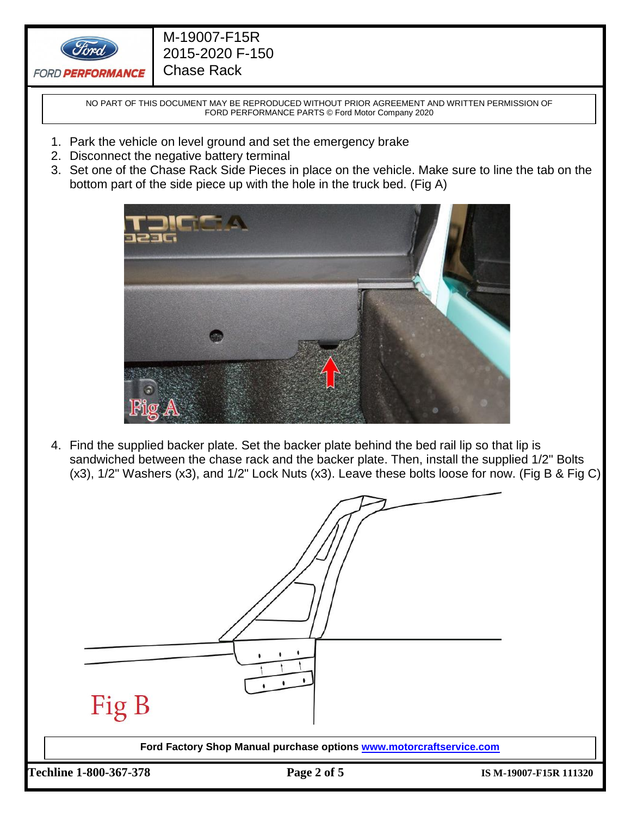

### M-19007-F15R 2015-2020 F-150 Chase Rack

NO PART OF THIS DOCUMENT MAY BE REPRODUCED WITHOUT PRIOR AGREEMENT AND WRITTEN PERMISSION OF FORD PERFORMANCE PARTS © Ford Motor Company 2020

- 1. Park the vehicle on level ground and set the emergency brake
- 2. Disconnect the negative battery terminal
- 3. Set one of the Chase Rack Side Pieces in place on the vehicle. Make sure to line the tab on the bottom part of the side piece up with the hole in the truck bed. (Fig A)



4. Find the supplied backer plate. Set the backer plate behind the bed rail lip so that lip is sandwiched between the chase rack and the backer plate. Then, install the supplied 1/2" Bolts (x3), 1/2" Washers (x3), and 1/2" Lock Nuts (x3). Leave these bolts loose for now. (Fig B & Fig C)

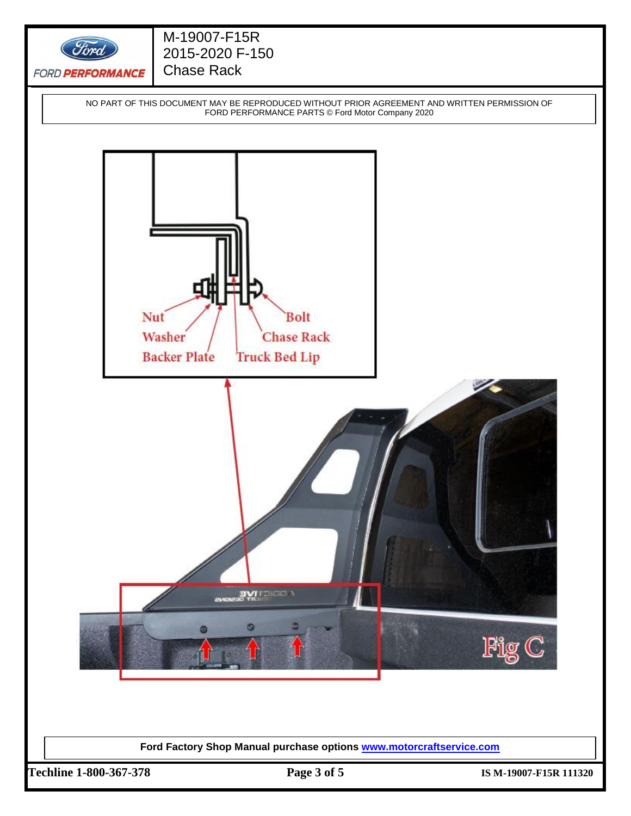

## M-19007-F15R 2015-2020 F-150 Chase Rack

NO PART OF THIS DOCUMENT MAY BE REPRODUCED WITHOUT PRIOR AGREEMENT AND WRITTEN PERMISSION OF FORD PERFORMANCE PARTS © Ford Motor Company 2020



**Ford Factory Shop Manual purchase options [www.motorcraftservice.com](http://www.motorcraftservice.com/)**

**Techline 1-800-367-378 Page 3 of 5 IS M-19007-F15R 111320**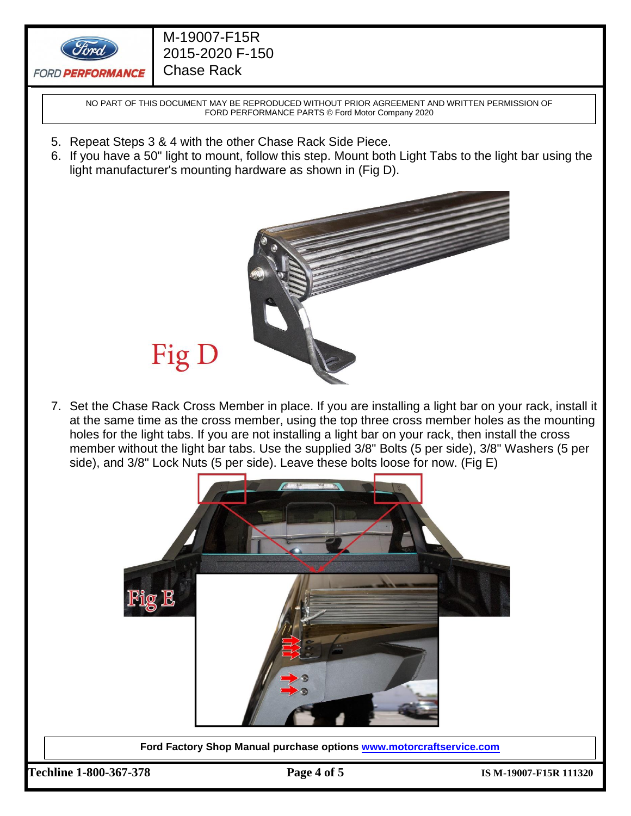

NO PART OF THIS DOCUMENT MAY BE REPRODUCED WITHOUT PRIOR AGREEMENT AND WRITTEN PERMISSION OF FORD PERFORMANCE PARTS © Ford Motor Company 2020

- 5. Repeat Steps 3 & 4 with the other Chase Rack Side Piece.
- 6. If you have a 50" light to mount, follow this step. Mount both Light Tabs to the light bar using the light manufacturer's mounting hardware as shown in (Fig D).



# Fig D

7. Set the Chase Rack Cross Member in place. If you are installing a light bar on your rack, install it at the same time as the cross member, using the top three cross member holes as the mounting holes for the light tabs. If you are not installing a light bar on your rack, then install the cross member without the light bar tabs. Use the supplied 3/8" Bolts (5 per side), 3/8" Washers (5 per side), and 3/8" Lock Nuts (5 per side). Leave these bolts loose for now. (Fig E)



**Ford Factory Shop Manual purchase options [www.motorcraftservice.com](http://www.motorcraftservice.com/)**

**Techline 1-800-367-378 Page 4 of 5 IS M-19007-F15R 111320**